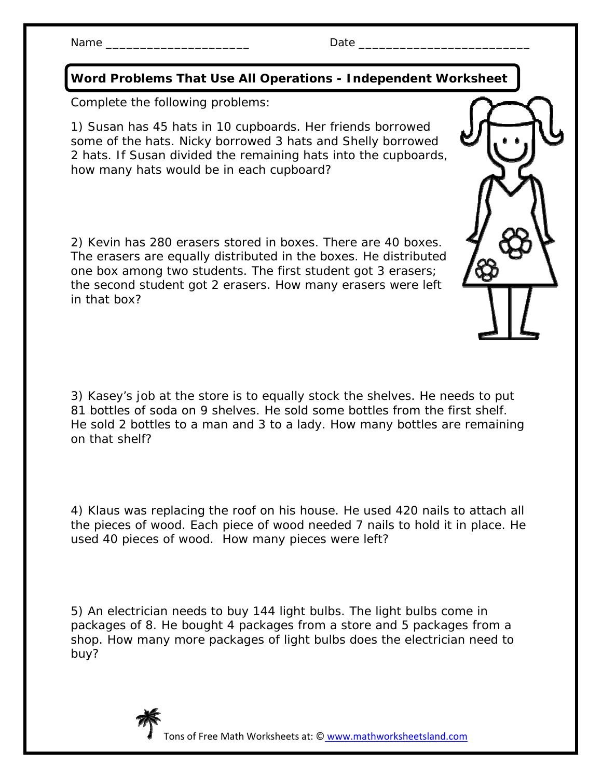## Name \_\_\_\_\_\_\_\_\_\_\_\_\_\_\_\_\_\_\_\_\_ Date \_\_\_\_\_\_\_\_\_\_\_\_\_\_\_\_\_\_\_\_\_\_\_\_\_

**Word Problems That Use All Operations - Independent Worksheet** 

Complete the following problems:

1) Susan has 45 hats in 10 cupboards. Her friends borrowed some of the hats. Nicky borrowed 3 hats and Shelly borrowed 2 hats. If Susan divided the remaining hats into the cupboards, how many hats would be in each cupboard?

2) Kevin has 280 erasers stored in boxes. There are 40 boxes. The erasers are equally distributed in the boxes. He distributed one box among two students. The first student got 3 erasers; the second student got 2 erasers. How many erasers were left in that box?

3) Kasey's job at the store is to equally stock the shelves. He needs to put 81 bottles of soda on 9 shelves. He sold some bottles from the first shelf. He sold 2 bottles to a man and 3 to a lady. How many bottles are remaining on that shelf?

4) Klaus was replacing the roof on his house. He used 420 nails to attach all the pieces of wood. Each piece of wood needed 7 nails to hold it in place. He used 40 pieces of wood. How many pieces were left?

5) An electrician needs to buy 144 light bulbs. The light bulbs come in packages of 8. He bought 4 packages from a store and 5 packages from a shop. How many more packages of light bulbs does the electrician need to buy?